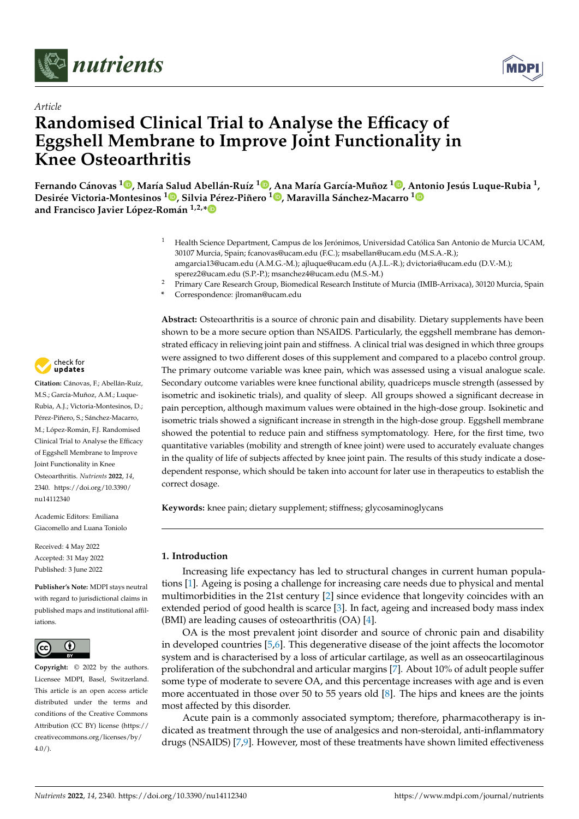



# *Article* **Randomised Clinical Trial to Analyse the Efficacy of Eggshell Membrane to Improve Joint Functionality in Knee Osteoarthritis**

Fernando Cánovas <sup>1</sup>D[,](https://orcid.org/0000-0003-2952-4783) María Salud Abellán-Ruíz <sup>[1](https://orcid.org/0000-0002-1021-5385)</sup>D, Ana María García-Muñoz <sup>1</sup>D, Antonio Jesús Luque-Rubia <sup>1</sup>, **Desirée Victoria-Montesinos <sup>1</sup> [,](https://orcid.org/0000-0003-3968-9477) Silvia Pérez-Piñero <sup>1</sup> [,](https://orcid.org/0000-0002-2027-9075) Maravilla Sánchez-Macarro [1](https://orcid.org/0000-0001-7589-1344) and Francisco Javier López-Román 1,2,[\\*](https://orcid.org/0000-0002-2841-5502)**

- <sup>1</sup> Health Science Department, Campus de los Jerónimos, Universidad Católica San Antonio de Murcia UCAM, 30107 Murcia, Spain; fcanovas@ucam.edu (F.C.); msabellan@ucam.edu (M.S.A.-R.); amgarcia13@ucam.edu (A.M.G.-M.); ajluque@ucam.edu (A.J.L.-R.); dvictoria@ucam.edu (D.V.-M.); sperez2@ucam.edu (S.P.-P.); msanchez4@ucam.edu (M.S.-M.)
- <sup>2</sup> Primary Care Research Group, Biomedical Research Institute of Murcia (IMIB-Arrixaca), 30120 Murcia, Spain
- **\*** Correspondence: jlroman@ucam.edu



**Citation:** Cánovas, F.; Abellán-Ruíz, M.S.; García-Muñoz, A.M.; Luque-Rubia, A.J.; Victoria-Montesinos, D.; Pérez-Piñero, S.; Sánchez-Macarro, M.; López-Román, F.J. Randomised Clinical Trial to Analyse the Efficacy of Eggshell Membrane to Improve Joint Functionality in Knee Osteoarthritis. *Nutrients* **2022**, *14*, 2340. [https://doi.org/10.3390/](https://doi.org/10.3390/nu14112340) [nu14112340](https://doi.org/10.3390/nu14112340)

Academic Editors: Emiliana Giacomello and Luana Toniolo

Received: 4 May 2022 Accepted: 31 May 2022 Published: 3 June 2022

**Publisher's Note:** MDPI stays neutral with regard to jurisdictional claims in published maps and institutional affiliations.



**Copyright:** © 2022 by the authors. Licensee MDPI, Basel, Switzerland. This article is an open access article distributed under the terms and conditions of the Creative Commons Attribution (CC BY) license [\(https://](https://creativecommons.org/licenses/by/4.0/) [creativecommons.org/licenses/by/](https://creativecommons.org/licenses/by/4.0/)  $4.0/$ ).

**Abstract:** Osteoarthritis is a source of chronic pain and disability. Dietary supplements have been shown to be a more secure option than NSAIDS. Particularly, the eggshell membrane has demonstrated efficacy in relieving joint pain and stiffness. A clinical trial was designed in which three groups were assigned to two different doses of this supplement and compared to a placebo control group. The primary outcome variable was knee pain, which was assessed using a visual analogue scale. Secondary outcome variables were knee functional ability, quadriceps muscle strength (assessed by isometric and isokinetic trials), and quality of sleep. All groups showed a significant decrease in pain perception, although maximum values were obtained in the high-dose group. Isokinetic and isometric trials showed a significant increase in strength in the high-dose group. Eggshell membrane showed the potential to reduce pain and stiffness symptomatology. Here, for the first time, two quantitative variables (mobility and strength of knee joint) were used to accurately evaluate changes in the quality of life of subjects affected by knee joint pain. The results of this study indicate a dosedependent response, which should be taken into account for later use in therapeutics to establish the correct dosage.

**Keywords:** knee pain; dietary supplement; stiffness; glycosaminoglycans

## **1. Introduction**

Increasing life expectancy has led to structural changes in current human populations [\[1\]](#page-7-0). Ageing is posing a challenge for increasing care needs due to physical and mental multimorbidities in the 21st century [\[2\]](#page-7-1) since evidence that longevity coincides with an extended period of good health is scarce [\[3\]](#page-7-2). In fact, ageing and increased body mass index (BMI) are leading causes of osteoarthritis (OA) [\[4\]](#page-7-3).

OA is the most prevalent joint disorder and source of chronic pain and disability in developed countries [\[5,](#page-7-4)[6\]](#page-7-5). This degenerative disease of the joint affects the locomotor system and is characterised by a loss of articular cartilage, as well as an osseocartilaginous proliferation of the subchondral and articular margins [\[7\]](#page-7-6). About 10% of adult people suffer some type of moderate to severe OA, and this percentage increases with age and is even more accentuated in those over 50 to 55 years old [\[8\]](#page-7-7). The hips and knees are the joints most affected by this disorder.

Acute pain is a commonly associated symptom; therefore, pharmacotherapy is indicated as treatment through the use of analgesics and non-steroidal, anti-inflammatory drugs (NSAIDS) [\[7](#page-7-6)[,9\]](#page-7-8). However, most of these treatments have shown limited effectiveness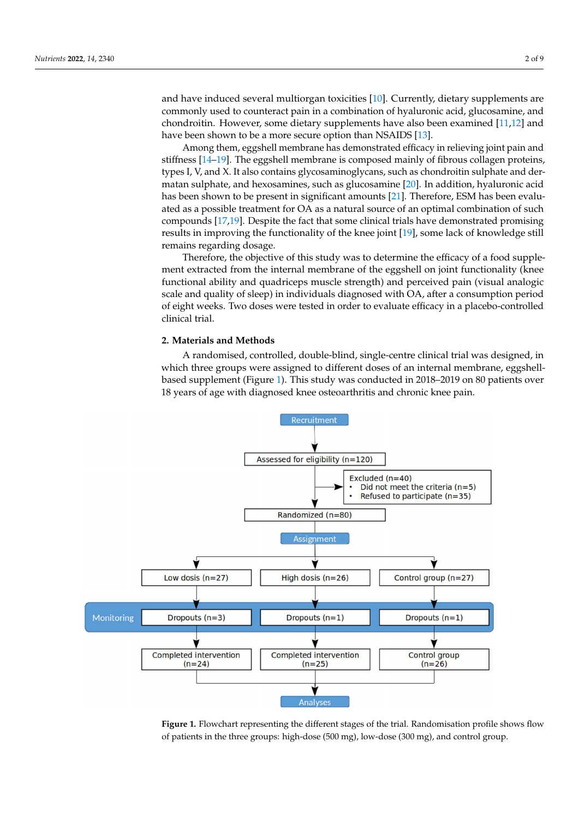and have induced several multiorgan toxicities  $[10]$ . Currently, dietary supplements are commonly used to counteract pain in a combination of hyaluronic acid, glucosamine, and chondroitin. However, some dietary supplements have also been examined [\[11](#page-8-0)[,12\]](#page-8-1) and have been shown to be a more secure option than NSAIDS [\[13\]](#page-8-2).

are common ly used to commonly used to compile to combination of hyaluronic acid, glucosamine, glucosamine, gl

Among them, eggshell membrane has demonstrated efficacy in relieving joint pain and stiffness [\[14–](#page-8-3)[19\]](#page-8-4). The eggshell membrane has demonstrated emetely in reflexing joint paint and stiffness [14–19]. The eggshell membrane is composed mainly of fibrous collagen proteins, types I, V, and X. It also contains glycosaminoglycans, such as chondroitin sulphate and der- $\frac{1}{2}$  matan sulphate, and hexosamines, such as glucosamine [\[20\]](#page-8-5). In addition, hyaluronic acid has been shown to be present in significant amounts [21]. Therefore, ESM has been evaluated as a possible treatment for OA as a natural source of an optimal combination of such compounds  $[17,19]$  $[17,19]$ . Despite the fact that some clinical trials have demonstrated promising results in improving the functionality of the knee joint [\[19\]](#page-8-4), some lack of knowledge still remains regarding dosage.

rentallis regarding dosage.<br>Therefore, the objective of this study was to determine the efficacy of a food supplement extracted from the internal membrane of the eggshell on joint functionality (knee functional ability and quadriceps muscle strength) and perceived pain (visual analogic scale and quality of sleep) in individuals diagnosed with OA, after a consumption period of eight weeks. Two doses were tested in order to evaluate efficacy in a placebo-controlled clinical trial.

#### **2. Materials and Methods** 2. Materials and Methods

A randomised, controlled, double-blind, single-centre clinical trial was designed, in A randomised, controlled, double-blind, single-centre clinical trial was designed, in which three groups were assigned to different doses of an internal membrane, eggshell-which three groups were assigned to different doses of an internal membrane, eggshellbased supplement (Figure [1\)](#page-1-0). This study was conducted in 2018–2019 on 80 patients over based supplement (Figure 1). This study was conducted in 2018–2019 on 80 patients over 18 years of age with diagnosed knee osteoarthritis and chronic knee pain. 18 years of age with diagnosed knee osteoarthritis and chronic knee pain.

<span id="page-1-0"></span>

**Figure 1.** Flowchart representing the different stages of the trial. Randomisation profile shows flow<br>of patients in the three groups: high-dose (500 mg), low-dose (300 mg), and control group. of patients in the three groups: high-dose (500 mg), low-dose (300 mg), and control group.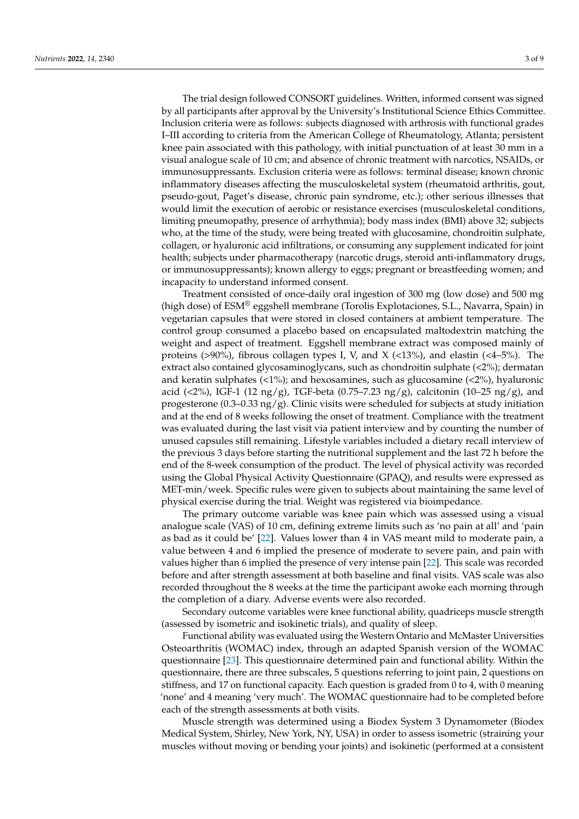The trial design followed CONSORT guidelines. Written, informed consent was signed by all participants after approval by the University's Institutional Science Ethics Committee. Inclusion criteria were as follows: subjects diagnosed with arthrosis with functional grades I–III according to criteria from the American College of Rheumatology, Atlanta; persistent knee pain associated with this pathology, with initial punctuation of at least 30 mm in a visual analogue scale of 10 cm; and absence of chronic treatment with narcotics, NSAIDs, or immunosuppressants. Exclusion criteria were as follows: terminal disease; known chronic

inflammatory diseases affecting the musculoskeletal system (rheumatoid arthritis, gout, pseudo-gout, Paget's disease, chronic pain syndrome, etc.); other serious illnesses that would limit the execution of aerobic or resistance exercises (musculoskeletal conditions, limiting pneumopathy, presence of arrhythmia); body mass index (BMI) above 32; subjects who, at the time of the study, were being treated with glucosamine, chondroitin sulphate, collagen, or hyaluronic acid infiltrations, or consuming any supplement indicated for joint health; subjects under pharmacotherapy (narcotic drugs, steroid anti-inflammatory drugs, or immunosuppressants); known allergy to eggs; pregnant or breastfeeding women; and incapacity to understand informed consent.

Treatment consisted of once-daily oral ingestion of 300 mg (low dose) and 500 mg (high dose) of ESM® eggshell membrane (Torolis Explotaciones, S.L., Navarra, Spain) in vegetarian capsules that were stored in closed containers at ambient temperature. The control group consumed a placebo based on encapsulated maltodextrin matching the weight and aspect of treatment. Eggshell membrane extract was composed mainly of proteins (>90%), fibrous collagen types I, V, and X (<13%), and elastin (<4-5%). The extract also contained glycosaminoglycans, such as chondroitin sulphate (<2%); dermatan and keratin sulphates  $($ <1%); and hexosamines, such as glucosamine  $($ <2%), hyaluronic acid (<2%), IGF-1 (12 ng/g), TGF-beta (0.75–7.23 ng/g), calcitonin (10–25 ng/g), and progesterone (0.3–0.33 ng/g). Clinic visits were scheduled for subjects at study initiation and at the end of 8 weeks following the onset of treatment. Compliance with the treatment was evaluated during the last visit via patient interview and by counting the number of unused capsules still remaining. Lifestyle variables included a dietary recall interview of the previous 3 days before starting the nutritional supplement and the last 72 h before the end of the 8-week consumption of the product. The level of physical activity was recorded using the Global Physical Activity Questionnaire (GPAQ), and results were expressed as MET-min/week. Specific rules were given to subjects about maintaining the same level of physical exercise during the trial. Weight was registered via bioimpedance.

The primary outcome variable was knee pain which was assessed using a visual analogue scale (VAS) of 10 cm, defining extreme limits such as 'no pain at all' and 'pain as bad as it could be' [\[22\]](#page-8-8). Values lower than 4 in VAS meant mild to moderate pain, a value between 4 and 6 implied the presence of moderate to severe pain, and pain with values higher than 6 implied the presence of very intense pain [\[22\]](#page-8-8). This scale was recorded before and after strength assessment at both baseline and final visits. VAS scale was also recorded throughout the 8 weeks at the time the participant awoke each morning through the completion of a diary. Adverse events were also recorded.

Secondary outcome variables were knee functional ability, quadriceps muscle strength (assessed by isometric and isokinetic trials), and quality of sleep.

Functional ability was evaluated using the Western Ontario and McMaster Universities Osteoarthritis (WOMAC) index, through an adapted Spanish version of the WOMAC questionnaire [\[23\]](#page-8-9). This questionnaire determined pain and functional ability. Within the questionnaire, there are three subscales, 5 questions referring to joint pain, 2 questions on stiffness, and 17 on functional capacity. Each question is graded from 0 to 4, with 0 meaning 'none' and 4 meaning 'very much'. The WOMAC questionnaire had to be completed before each of the strength assessments at both visits.

Muscle strength was determined using a Biodex System 3 Dynamometer (Biodex Medical System, Shirley, New York, NY, USA) in order to assess isometric (straining your muscles without moving or bending your joints) and isokinetic (performed at a consistent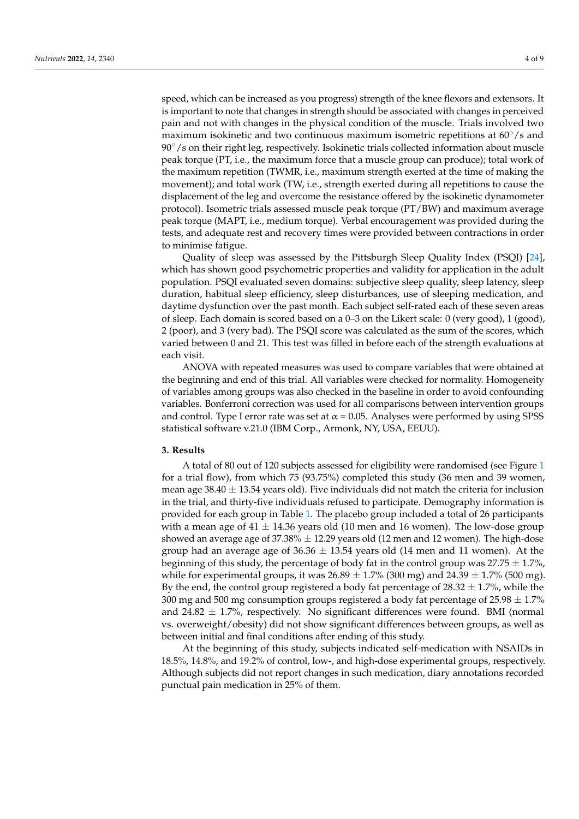speed, which can be increased as you progress) strength of the knee flexors and extensors. It is important to note that changes in strength should be associated with changes in perceived pain and not with changes in the physical condition of the muscle. Trials involved two maximum isokinetic and two continuous maximum isometric repetitions at 60◦/s and 90 $\degree$ /s on their right leg, respectively. Isokinetic trials collected information about muscle peak torque (PT, i.e., the maximum force that a muscle group can produce); total work of the maximum repetition (TWMR, i.e., maximum strength exerted at the time of making the movement); and total work (TW, i.e., strength exerted during all repetitions to cause the displacement of the leg and overcome the resistance offered by the isokinetic dynamometer protocol). Isometric trials assessed muscle peak torque (PT/BW) and maximum average peak torque (MAPT, i.e., medium torque). Verbal encouragement was provided during the tests, and adequate rest and recovery times were provided between contractions in order to minimise fatigue.

Quality of sleep was assessed by the Pittsburgh Sleep Quality Index (PSQI) [\[24\]](#page-8-10), which has shown good psychometric properties and validity for application in the adult population. PSQI evaluated seven domains: subjective sleep quality, sleep latency, sleep duration, habitual sleep efficiency, sleep disturbances, use of sleeping medication, and daytime dysfunction over the past month. Each subject self-rated each of these seven areas of sleep. Each domain is scored based on a 0–3 on the Likert scale: 0 (very good), 1 (good), 2 (poor), and 3 (very bad). The PSQI score was calculated as the sum of the scores, which varied between 0 and 21. This test was filled in before each of the strength evaluations at each visit.

ANOVA with repeated measures was used to compare variables that were obtained at the beginning and end of this trial. All variables were checked for normality. Homogeneity of variables among groups was also checked in the baseline in order to avoid confounding variables. Bonferroni correction was used for all comparisons between intervention groups and control. Type I error rate was set at  $\alpha$  = 0.05. Analyses were performed by using SPSS statistical software v.21.0 (IBM Corp., Armonk, NY, USA, EEUU).

## **3. Results**

A total of 80 out of 120 subjects assessed for eligibility were randomised (see Figure [1](#page-1-0) for a trial flow), from which 75 (93.75%) completed this study (36 men and 39 women, mean age  $38.40 \pm 13.54$  years old). Five individuals did not match the criteria for inclusion in the trial, and thirty-five individuals refused to participate. Demography information is provided for each group in Table [1.](#page-4-0) The placebo group included a total of 26 participants with a mean age of  $41 \pm 14.36$  years old (10 men and 16 women). The low-dose group showed an average age of  $37.38\% \pm 12.29$  years old (12 men and 12 women). The high-dose group had an average age of  $36.36 \pm 13.54$  years old (14 men and 11 women). At the beginning of this study, the percentage of body fat in the control group was  $27.75 \pm 1.7\%$ , while for experimental groups, it was  $26.89 \pm 1.7\%$  (300 mg) and  $24.39 \pm 1.7\%$  (500 mg). By the end, the control group registered a body fat percentage of  $28.32 \pm 1.7$ %, while the 300 mg and 500 mg consumption groups registered a body fat percentage of  $25.98 \pm 1.7\%$ and  $24.82 \pm 1.7$ %, respectively. No significant differences were found. BMI (normal vs. overweight/obesity) did not show significant differences between groups, as well as between initial and final conditions after ending of this study.

At the beginning of this study, subjects indicated self-medication with NSAIDs in 18.5%, 14.8%, and 19.2% of control, low-, and high-dose experimental groups, respectively. Although subjects did not report changes in such medication, diary annotations recorded punctual pain medication in 25% of them.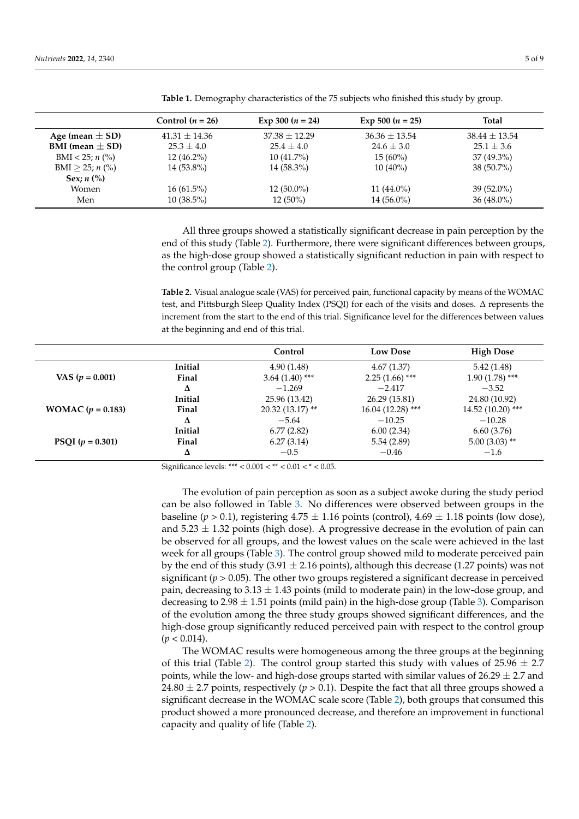|                        | Control $(n = 26)$ | Exp 300 $(n = 24)$ | Exp 500 $(n = 25)$ | <b>Total</b>    |
|------------------------|--------------------|--------------------|--------------------|-----------------|
| Age (mean $\pm$ SD)    | $41.31 + 14.36$    | $37.38 + 12.29$    | $36.36 + 13.54$    | $38.44 + 13.54$ |
| BMI (mean $\pm$ SD)    | $25.3 \pm 4.0$     | $25.4 \pm 4.0$     | $24.6 \pm 3.0$     | $25.1 \pm 3.6$  |
| BMI < 25; $n$ (%)      | $12(46.2\%)$       | $10(41.7\%)$       | $15(60\%)$         | $37(49.3\%)$    |
| $BMI > 25; n$ (%)      | $14(53.8\%)$       | $14(58.3\%)$       | $10(40\%)$         | $38(50.7\%)$    |
| Sex; $n$ $\frac{6}{6}$ |                    |                    |                    |                 |
| Women                  | $16(61.5\%)$       | $12(50.0\%)$       | 11 $(44.0\%)$      | $39(52.0\%)$    |
| Men                    | $10(38.5\%)$       | $12(50\%)$         | $14(56.0\%)$       | $36(48.0\%)$    |

<span id="page-4-0"></span>**Table 1.** Demography characteristics of the 75 subjects who finished this study by group.

All three groups showed a statistically significant decrease in pain perception by the end of this study (Table [2\)](#page-4-1). Furthermore, there were significant differences between groups, as the high-dose group showed a statistically significant reduction in pain with respect to the control group (Table [2\)](#page-4-1).

<span id="page-4-1"></span>**Table 2.** Visual analogue scale (VAS) for perceived pain, functional capacity by means of the WOMAC test, and Pittsburgh Sleep Quality Index (PSQI) for each of the visits and doses. ∆ represents the increment from the start to the end of this trial. Significance level for the differences between values at the beginning and end of this trial.

|                            |         | Control           | <b>Low Dose</b>    | <b>High Dose</b>   |
|----------------------------|---------|-------------------|--------------------|--------------------|
|                            | Initial | 4.90(1.48)        | 4.67(1.37)         | 5.42(1.48)         |
| VAS $(p = 0.001)$          | Final   | $3.64(1.40)$ ***  | $2.25(1.66)$ ***   | $1.90(1.78)$ ***   |
|                            | Δ       | $-1.269$          | $-2.417$           | $-3.52$            |
|                            | Initial | 25.96 (13.42)     | 26.29 (15.81)      | 24.80 (10.92)      |
| <b>WOMAC</b> $(p = 0.183)$ | Final   | $20.32(13.17)$ ** | $16.04(12.28)$ *** | $14.52(10.20)$ *** |
|                            | Δ       | $-5.64$           | $-10.25$           | $-10.28$           |
| PSQI $(p = 0.301)$         | Initial | 6.77(2.82)        | 6.00(2.34)         | 6.60(3.76)         |
|                            | Final   | 6.27(3.14)        | 5.54(2.89)         | $5.00(3.03)$ **    |
|                            | Δ       | $-0.5$            | $-0.46$            | $-1.6$             |

Significance levels: \*\*\* <  $0.001 <$  \*\* <  $0.01 <$  \* <  $0.05$ .

The evolution of pain perception as soon as a subject awoke during the study period can be also followed in Table [3.](#page-5-0) No differences were observed between groups in the baseline ( $p > 0.1$ ), registering  $4.75 \pm 1.16$  points (control),  $4.69 \pm 1.18$  points (low dose), and  $5.23 \pm 1.32$  points (high dose). A progressive decrease in the evolution of pain can be observed for all groups, and the lowest values on the scale were achieved in the last week for all groups (Table [3\)](#page-5-0). The control group showed mild to moderate perceived pain by the end of this study (3.91  $\pm$  2.16 points), although this decrease (1.27 points) was not significant ( $p > 0.05$ ). The other two groups registered a significant decrease in perceived pain, decreasing to  $3.13 \pm 1.43$  points (mild to moderate pain) in the low-dose group, and decreasing to 2.98  $\pm$  1.51 points (mild pain) in the high-dose group (Table [3\)](#page-5-0). Comparison of the evolution among the three study groups showed significant differences, and the high-dose group significantly reduced perceived pain with respect to the control group  $(p < 0.014)$ .

The WOMAC results were homogeneous among the three groups at the beginning of this trial (Table [2\)](#page-4-1). The control group started this study with values of  $25.96 \pm 2.7$ points, while the low- and high-dose groups started with similar values of  $26.29 \pm 2.7$  and 24.80  $\pm$  2.7 points, respectively ( $p > 0.1$ ). Despite the fact that all three groups showed a significant decrease in the WOMAC scale score (Table [2\)](#page-4-1), both groups that consumed this product showed a more pronounced decrease, and therefore an improvement in functional capacity and quality of life (Table [2\)](#page-4-1).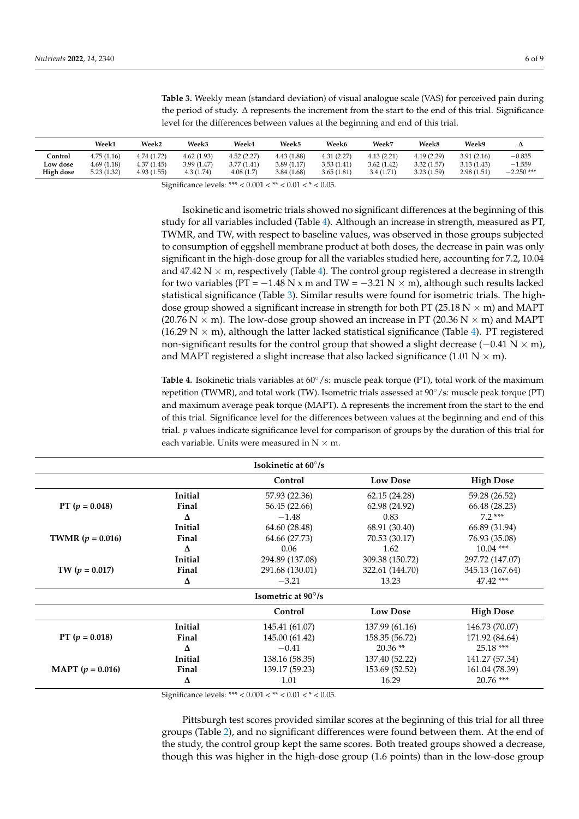|                       | Week1                    | Week <sub>2</sub>         | <b>Week3</b>             | Week4                    | <b>Week5</b>              | Week6                    | Week7                   | Week8                    | Week9                    |                          |
|-----------------------|--------------------------|---------------------------|--------------------------|--------------------------|---------------------------|--------------------------|-------------------------|--------------------------|--------------------------|--------------------------|
| Control               | 4.75(1.16)               | 4.74 (1.72)               | 4.62(1.93)               | 4.52(2.27)               | 4.43 (1.88)               | 4.31(2.27)               | 4.13(2.21)              | 4.19(2.29)               | 3.91(2.16)               | $-0.835$                 |
| Low dose<br>High dose | 4.69(1.18)<br>5.23(1.32) | 4.37(1.45)<br>4.93 (1.55) | 3.99(1.47)<br>4.3 (1.74) | 3.77(1.41)<br>4.08 (1.7) | 3.89(1.17)<br>3.84 (1.68) | 3.53(1.41)<br>3.65(1.81) | 3.62(1.42)<br>3.4(1.71) | 3.32(1.57)<br>3.23(1.59) | 3.13(1.43)<br>2.98(1.51) | $-1.559$<br>$-2.250$ *** |
|                       |                          |                           |                          |                          |                           |                          |                         |                          |                          |                          |

<span id="page-5-0"></span>**Table 3.** Weekly mean (standard deviation) of visual analogue scale (VAS) for perceived pain during the period of study. ∆ represents the increment from the start to the end of this trial. Significance level for the differences between values at the beginning and end of this trial.

Significance levels: \*\*\* < 0.001 < \*\* < 0.01 < \* < 0.05.

Isokinetic and isometric trials showed no significant differences at the beginning of this study for all variables included (Table [4\)](#page-5-1). Although an increase in strength, measured as PT, TWMR, and TW, with respect to baseline values, was observed in those groups subjected to consumption of eggshell membrane product at both doses, the decrease in pain was only significant in the high-dose group for all the variables studied here, accounting for 7.2, 10.04 and 47.42 N  $\times$  m, respectively (Table [4\)](#page-5-1). The control group registered a decrease in strength for two variables (PT =  $-1.48$  N x m and TW =  $-3.21$  N  $\times$  m), although such results lacked statistical significance (Table [3\)](#page-5-0). Similar results were found for isometric trials. The highdose group showed a significant increase in strength for both PT (25.18 N  $\times$  m) and MAPT (20.76 N  $\times$  m). The low-dose group showed an increase in PT (20.36 N  $\times$  m) and MAPT (16.29 N  $\times$  m), although the latter lacked statistical significance (Table [4\)](#page-5-1). PT registered non-significant results for the control group that showed a slight decrease ( $-0.41$  N  $\times$  m), and MAPT registered a slight increase that also lacked significance (1.01 N  $\times$  m).

<span id="page-5-1"></span>**Table 4.** Isokinetic trials variables at 60◦/s: muscle peak torque (PT), total work of the maximum repetition (TWMR), and total work (TW). Isometric trials assessed at 90◦/s: muscle peak torque (PT) and maximum average peak torque (MAPT). ∆ represents the increment from the start to the end of this trial. Significance level for the differences between values at the beginning and end of this trial. *p* values indicate significance level for comparison of groups by the duration of this trial for each variable. Units were measured in  $N \times m$ .

|                             |         | <b>Isokinetic at <math>60^{\circ}/s</math></b> |                 |                  |
|-----------------------------|---------|------------------------------------------------|-----------------|------------------|
|                             |         | Control                                        | <b>Low Dose</b> | <b>High Dose</b> |
|                             | Initial | 57.93 (22.36)                                  | 62.15 (24.28)   | 59.28 (26.52)    |
| PT ( $p = 0.048$ )          | Final   | 56.45 (22.66)                                  | 62.98 (24.92)   | 66.48 (28.23)    |
|                             | Δ       | $-1.48$                                        | 0.83            | $7.2***$         |
|                             | Initial | 64.60 (28.48)                                  | 68.91 (30.40)   | 66.89 (31.94)    |
| <b>TWMR</b> ( $p = 0.016$ ) | Final   | 64.66 (27.73)                                  | 70.53 (30.17)   | 76.93 (35.08)    |
|                             | Δ       | 0.06                                           | 1.62            | $10.04$ ***      |
|                             | Initial | 294.89 (137.08)                                | 309.38 (150.72) | 297.72 (147.07)  |
| TW $(p = 0.017)$            | Final   | 291.68 (130.01)                                | 322.61 (144.70) | 345.13 (167.64)  |
|                             | Δ       | $-3.21$                                        | 13.23           | $47.42$ ***      |
|                             |         | <b>Isometric at 90<math>\degree</math>/s</b>   |                 |                  |
|                             |         | Control                                        | <b>Low Dose</b> | <b>High Dose</b> |
|                             | Initial | 145.41 (61.07)                                 | 137.99 (61.16)  | 146.73 (70.07)   |
| PT ( $p = 0.018$ )          | Final   | 145.00 (61.42)                                 | 158.35 (56.72)  | 171.92 (84.64)   |
|                             | Δ       | $-0.41$                                        | $20.36**$       | $25.18***$       |
|                             | Initial | 138.16 (58.35)                                 | 137.40 (52.22)  | 141.27 (57.34)   |
| <b>MAPT</b> ( $p = 0.016$ ) | Final   | 139.17 (59.23)                                 | 153.69 (52.52)  | 161.04 (78.39)   |
|                             | Δ       | 1.01                                           | 16.29           | $20.76$ ***      |

Significance levels: \*\*\* < 0.001 < \*\* < 0.01 < \* < 0.05.

Pittsburgh test scores provided similar scores at the beginning of this trial for all three groups (Table [2\)](#page-4-1), and no significant differences were found between them. At the end of the study, the control group kept the same scores. Both treated groups showed a decrease, though this was higher in the high-dose group (1.6 points) than in the low-dose group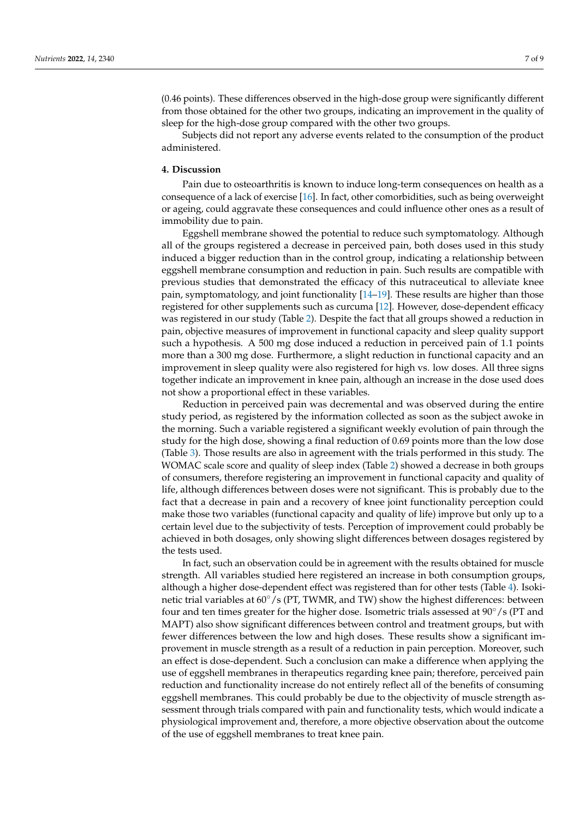(0.46 points). These differences observed in the high-dose group were significantly different from those obtained for the other two groups, indicating an improvement in the quality of sleep for the high-dose group compared with the other two groups.

Subjects did not report any adverse events related to the consumption of the product administered.

## **4. Discussion**

Pain due to osteoarthritis is known to induce long-term consequences on health as a consequence of a lack of exercise [\[16\]](#page-8-11). In fact, other comorbidities, such as being overweight or ageing, could aggravate these consequences and could influence other ones as a result of immobility due to pain.

Eggshell membrane showed the potential to reduce such symptomatology. Although all of the groups registered a decrease in perceived pain, both doses used in this study induced a bigger reduction than in the control group, indicating a relationship between eggshell membrane consumption and reduction in pain. Such results are compatible with previous studies that demonstrated the efficacy of this nutraceutical to alleviate knee pain, symptomatology, and joint functionality [\[14](#page-8-3)[–19\]](#page-8-4). These results are higher than those registered for other supplements such as curcuma [\[12\]](#page-8-1). However, dose-dependent efficacy was registered in our study (Table [2\)](#page-4-1). Despite the fact that all groups showed a reduction in pain, objective measures of improvement in functional capacity and sleep quality support such a hypothesis. A 500 mg dose induced a reduction in perceived pain of 1.1 points more than a 300 mg dose. Furthermore, a slight reduction in functional capacity and an improvement in sleep quality were also registered for high vs. low doses. All three signs together indicate an improvement in knee pain, although an increase in the dose used does not show a proportional effect in these variables.

Reduction in perceived pain was decremental and was observed during the entire study period, as registered by the information collected as soon as the subject awoke in the morning. Such a variable registered a significant weekly evolution of pain through the study for the high dose, showing a final reduction of 0.69 points more than the low dose (Table [3\)](#page-5-0). Those results are also in agreement with the trials performed in this study. The WOMAC scale score and quality of sleep index (Table [2\)](#page-4-1) showed a decrease in both groups of consumers, therefore registering an improvement in functional capacity and quality of life, although differences between doses were not significant. This is probably due to the fact that a decrease in pain and a recovery of knee joint functionality perception could make those two variables (functional capacity and quality of life) improve but only up to a certain level due to the subjectivity of tests. Perception of improvement could probably be achieved in both dosages, only showing slight differences between dosages registered by the tests used.

In fact, such an observation could be in agreement with the results obtained for muscle strength. All variables studied here registered an increase in both consumption groups, although a higher dose-dependent effect was registered than for other tests (Table [4\)](#page-5-1). Isokinetic trial variables at 60◦/s (PT, TWMR, and TW) show the highest differences: between four and ten times greater for the higher dose. Isometric trials assessed at 90◦/s (PT and MAPT) also show significant differences between control and treatment groups, but with fewer differences between the low and high doses. These results show a significant improvement in muscle strength as a result of a reduction in pain perception. Moreover, such an effect is dose-dependent. Such a conclusion can make a difference when applying the use of eggshell membranes in therapeutics regarding knee pain; therefore, perceived pain reduction and functionality increase do not entirely reflect all of the benefits of consuming eggshell membranes. This could probably be due to the objectivity of muscle strength assessment through trials compared with pain and functionality tests, which would indicate a physiological improvement and, therefore, a more objective observation about the outcome of the use of eggshell membranes to treat knee pain.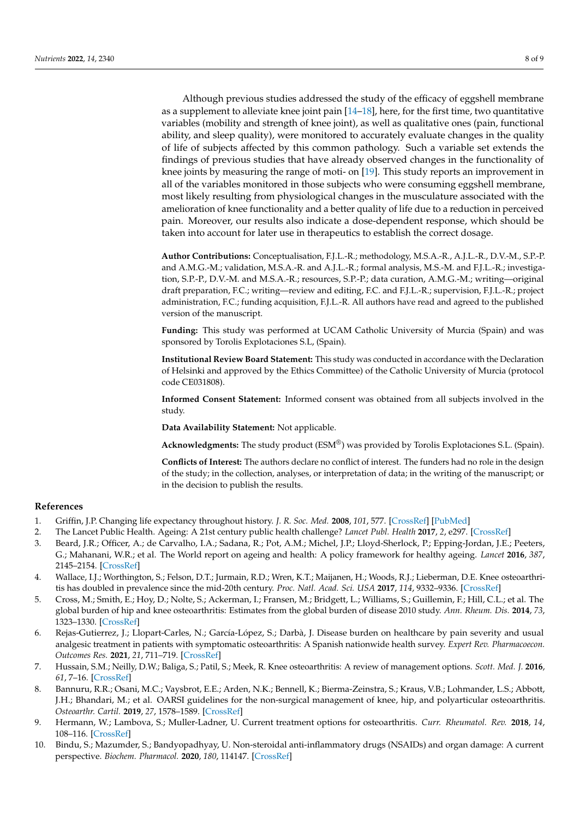Although previous studies addressed the study of the efficacy of eggshell membrane as a supplement to alleviate knee joint pain  $[14-18]$  $[14-18]$ , here, for the first time, two quantitative variables (mobility and strength of knee joint), as well as qualitative ones (pain, functional ability, and sleep quality), were monitored to accurately evaluate changes in the quality of life of subjects affected by this common pathology. Such a variable set extends the findings of previous studies that have already observed changes in the functionality of knee joints by measuring the range of moti- on [\[19\]](#page-8-4). This study reports an improvement in all of the variables monitored in those subjects who were consuming eggshell membrane, most likely resulting from physiological changes in the musculature associated with the amelioration of knee functionality and a better quality of life due to a reduction in perceived pain. Moreover, our results also indicate a dose-dependent response, which should be taken into account for later use in therapeutics to establish the correct dosage.

**Author Contributions:** Conceptualisation, F.J.L.-R.; methodology, M.S.A.-R., A.J.L.-R., D.V.-M., S.P.-P. and A.M.G.-M.; validation, M.S.A.-R. and A.J.L.-R.; formal analysis, M.S.-M. and F.J.L.-R.; investigation, S.P.-P., D.V.-M. and M.S.A.-R.; resources, S.P.-P.; data curation, A.M.G.-M.; writing—original draft preparation, F.C.; writing—review and editing, F.C. and F.J.L.-R.; supervision, F.J.L.-R.; project administration, F.C.; funding acquisition, F.J.L.-R. All authors have read and agreed to the published version of the manuscript.

**Funding:** This study was performed at UCAM Catholic University of Murcia (Spain) and was sponsored by Torolis Explotaciones S.L, (Spain).

**Institutional Review Board Statement:** This study was conducted in accordance with the Declaration of Helsinki and approved by the Ethics Committee) of the Catholic University of Murcia (protocol code CE031808).

**Informed Consent Statement:** Informed consent was obtained from all subjects involved in the study.

**Data Availability Statement:** Not applicable.

**Acknowledgments:** The study product (ESM®) was provided by Torolis Explotaciones S.L. (Spain).

**Conflicts of Interest:** The authors declare no conflict of interest. The funders had no role in the design of the study; in the collection, analyses, or interpretation of data; in the writing of the manuscript; or in the decision to publish the results.

#### **References**

- <span id="page-7-0"></span>1. Griffin, J.P. Changing life expectancy throughout history. *J. R. Soc. Med.* **2008**, *101*, 577. [\[CrossRef\]](http://doi.org/10.1258/jrsm.2008.08k037) [\[PubMed\]](http://www.ncbi.nlm.nih.gov/pubmed/19092024)
- <span id="page-7-1"></span>2. The Lancet Public Health. Ageing: A 21st century public health challenge? *Lancet Publ. Health* **2017**, *2*, e297. [\[CrossRef\]](http://doi.org/10.1016/S2468-2667(17)30125-1)
- <span id="page-7-2"></span>3. Beard, J.R.; Officer, A.; de Carvalho, I.A.; Sadana, R.; Pot, A.M.; Michel, J.P.; Lloyd-Sherlock, P.; Epping-Jordan, J.E.; Peeters, G.; Mahanani, W.R.; et al. The World report on ageing and health: A policy framework for healthy ageing. *Lancet* **2016**, *387*,
- <span id="page-7-3"></span>2145–2154. [\[CrossRef\]](http://doi.org/10.1016/S0140-6736(15)00516-4) 4. Wallace, I.J.; Worthington, S.; Felson, D.T.; Jurmain, R.D.; Wren, K.T.; Maijanen, H.; Woods, R.J.; Lieberman, D.E. Knee osteoarthritis has doubled in prevalence since the mid-20th century. *Proc. Natl. Acad. Sci. USA* **2017**, *114*, 9332–9336. [\[CrossRef\]](http://doi.org/10.1073/pnas.1703856114)
- <span id="page-7-4"></span>5. Cross, M.; Smith, E.; Hoy, D.; Nolte, S.; Ackerman, I.; Fransen, M.; Bridgett, L.; Williams, S.; Guillemin, F.; Hill, C.L.; et al. The global burden of hip and knee osteoarthritis: Estimates from the global burden of disease 2010 study. *Ann. Rheum. Dis.* **2014**, *73*, 1323–1330. [\[CrossRef\]](http://doi.org/10.1136/annrheumdis-2013-204763)
- <span id="page-7-5"></span>6. Rejas-Gutierrez, J.; Llopart-Carles, N.; García-López, S.; Darbà, J. Disease burden on healthcare by pain severity and usual analgesic treatment in patients with symptomatic osteoarthritis: A Spanish nationwide health survey. *Expert Rev. Pharmacoecon. Outcomes Res.* **2021**, *21*, 711–719. [\[CrossRef\]](http://doi.org/10.1080/14737167.2020.1807943)
- <span id="page-7-6"></span>7. Hussain, S.M.; Neilly, D.W.; Baliga, S.; Patil, S.; Meek, R. Knee osteoarthritis: A review of management options. *Scott. Med. J.* **2016**, *61*, 7–16. [\[CrossRef\]](http://doi.org/10.1177/0036933015619588)
- <span id="page-7-7"></span>8. Bannuru, R.R.; Osani, M.C.; Vaysbrot, E.E.; Arden, N.K.; Bennell, K.; Bierma-Zeinstra, S.; Kraus, V.B.; Lohmander, L.S.; Abbott, J.H.; Bhandari, M.; et al. OARSI guidelines for the non-surgical management of knee, hip, and polyarticular osteoarthritis. *Osteoarthr. Cartil.* **2019**, *27*, 1578–1589. [\[CrossRef\]](http://doi.org/10.1016/j.joca.2019.06.011)
- <span id="page-7-8"></span>9. Hermann, W.; Lambova, S.; Muller-Ladner, U. Current treatment options for osteoarthritis. *Curr. Rheumatol. Rev.* **2018**, *14*, 108–116. [\[CrossRef\]](http://doi.org/10.2174/1573397113666170829155149)
- <span id="page-7-9"></span>10. Bindu, S.; Mazumder, S.; Bandyopadhyay, U. Non-steroidal anti-inflammatory drugs (NSAIDs) and organ damage: A current perspective. *Biochem. Pharmacol.* **2020**, *180*, 114147. [\[CrossRef\]](http://doi.org/10.1016/j.bcp.2020.114147)